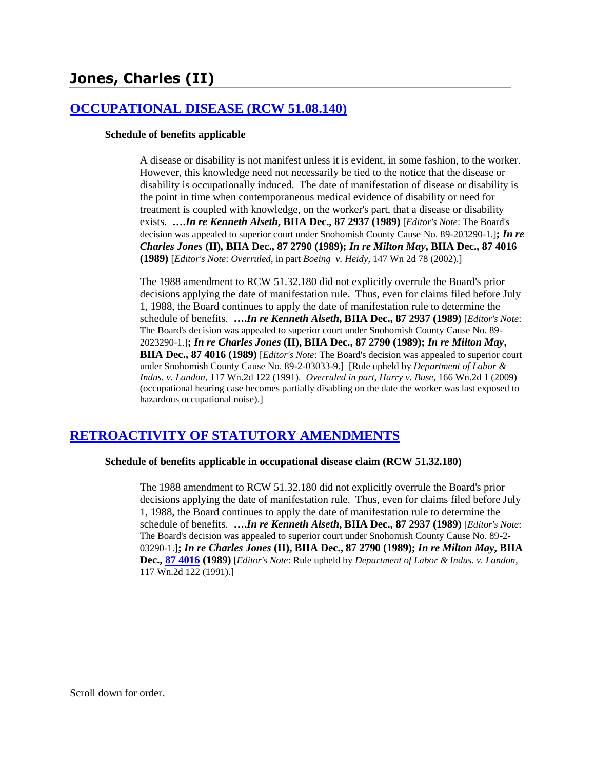# **[OCCUPATIONAL DISEASE \(RCW 51.08.140\)](http://www.biia.wa.gov/SDSubjectIndex.html#OCCUPATIONAL_DISEASE)**

#### **Schedule of benefits applicable**

A disease or disability is not manifest unless it is evident, in some fashion, to the worker. However, this knowledge need not necessarily be tied to the notice that the disease or disability is occupationally induced. The date of manifestation of disease or disability is the point in time when contemporaneous medical evidence of disability or need for treatment is coupled with knowledge, on the worker's part, that a disease or disability exists. **….***In re Kenneth Alseth***, BIIA Dec., 87 2937 (1989)** [*Editor's Note*: The Board's decision was appealed to superior court under Snohomish County Cause No. 89-203290-1.]**;** *In re Charles Jones* **(II)***,* **BIIA Dec., 87 2790 (1989);** *In re Milton May***, BIIA Dec., 87 4016 (1989)** [*Editor's Note*: *Overruled*, in part *Boeing v. Heidy*, 147 Wn 2d 78 (2002).]

The 1988 amendment to RCW 51.32.180 did not explicitly overrule the Board's prior decisions applying the date of manifestation rule. Thus, even for claims filed before July 1, 1988, the Board continues to apply the date of manifestation rule to determine the schedule of benefits. **….***In re Kenneth Alseth***, BIIA Dec., 87 2937 (1989)** [*Editor's Note*: The Board's decision was appealed to superior court under Snohomish County Cause No. 89- 2023290-1.]**;** *In re Charles Jones* **(II), BIIA Dec., 87 2790 (1989);** *In re Milton May***, BIIA Dec., 87 4016 (1989)** [*Editor's Note*: The Board's decision was appealed to superior court under Snohomish County Cause No. 89-2-03033-9.] [Rule upheld by *Department of Labor & Indus. v. Landon*, 117 Wn.2d 122 (1991). *Overruled in part*, *Harry v. Buse*, 166 Wn.2d 1 (2009) (occupational hearing case becomes partially disabling on the date the worker was last exposed to hazardous occupational noise).]

# **[RETROACTIVITY OF STATUTORY AMENDMENTS](http://www.biia.wa.gov/SDSubjectIndex.html#RETROACTIVITY_OF_STATUTORY_AMENDMENTS)**

### **Schedule of benefits applicable in occupational disease claim (RCW 51.32.180)**

The 1988 amendment to RCW 51.32.180 did not explicitly overrule the Board's prior decisions applying the date of manifestation rule. Thus, even for claims filed before July 1, 1988, the Board continues to apply the date of manifestation rule to determine the schedule of benefits. **….***In re Kenneth Alseth***, BIIA Dec., 87 2937 (1989)** [*Editor's Note*: The Board's decision was appealed to superior court under Snohomish County Cause No. 89-2- 03290-1.]**;** *In re Charles Jones* **(II), BIIA Dec., 87 2790 (1989);** *In re Milton May***, BIIA Dec., 87 4016 (1989)** [*Editor's Note*: Rule upheld by *Department of Labor & Indus. v. Landon*, 117 Wn.2d 122 (1991).]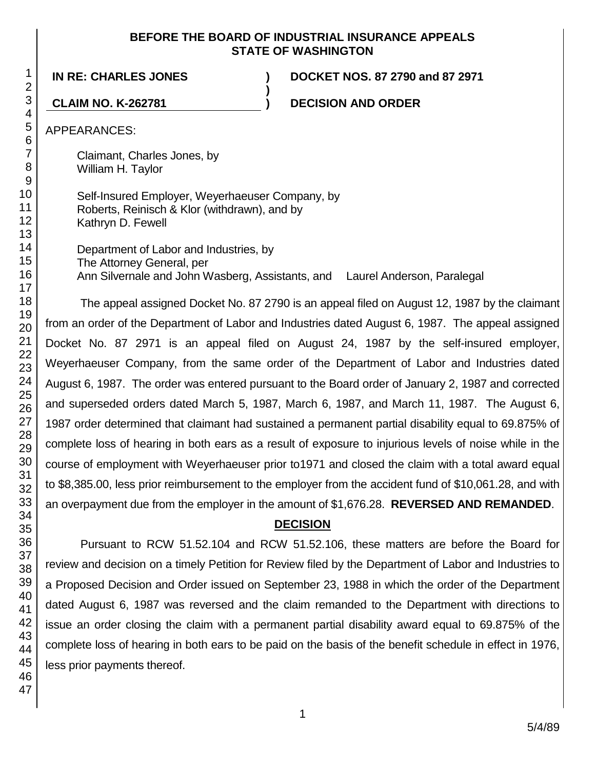## **BEFORE THE BOARD OF INDUSTRIAL INSURANCE APPEALS STATE OF WASHINGTON**

**)**

**IN RE: CHARLES JONES ) DOCKET NOS. 87 2790 and 87 2971**

**CLAIM NO. K-262781 ) DECISION AND ORDER**

APPEARANCES:

Claimant, Charles Jones, by William H. Taylor

Self-Insured Employer, Weyerhaeuser Company, by Roberts, Reinisch & Klor (withdrawn), and by Kathryn D. Fewell

Department of Labor and Industries, by The Attorney General, per Ann Silvernale and John Wasberg, Assistants, and Laurel Anderson, Paralegal

The appeal assigned Docket No. 87 2790 is an appeal filed on August 12, 1987 by the claimant from an order of the Department of Labor and Industries dated August 6, 1987. The appeal assigned Docket No. 87 2971 is an appeal filed on August 24, 1987 by the self-insured employer, Weyerhaeuser Company, from the same order of the Department of Labor and Industries dated August 6, 1987. The order was entered pursuant to the Board order of January 2, 1987 and corrected and superseded orders dated March 5, 1987, March 6, 1987, and March 11, 1987. The August 6, 1987 order determined that claimant had sustained a permanent partial disability equal to 69.875% of complete loss of hearing in both ears as a result of exposure to injurious levels of noise while in the course of employment with Weyerhaeuser prior to1971 and closed the claim with a total award equal to \$8,385.00, less prior reimbursement to the employer from the accident fund of \$10,061.28, and with an overpayment due from the employer in the amount of \$1,676.28. **REVERSED AND REMANDED**.

# **DECISION**

Pursuant to RCW 51.52.104 and RCW 51.52.106, these matters are before the Board for review and decision on a timely Petition for Review filed by the Department of Labor and Industries to a Proposed Decision and Order issued on September 23, 1988 in which the order of the Department dated August 6, 1987 was reversed and the claim remanded to the Department with directions to issue an order closing the claim with a permanent partial disability award equal to 69.875% of the complete loss of hearing in both ears to be paid on the basis of the benefit schedule in effect in 1976, less prior payments thereof.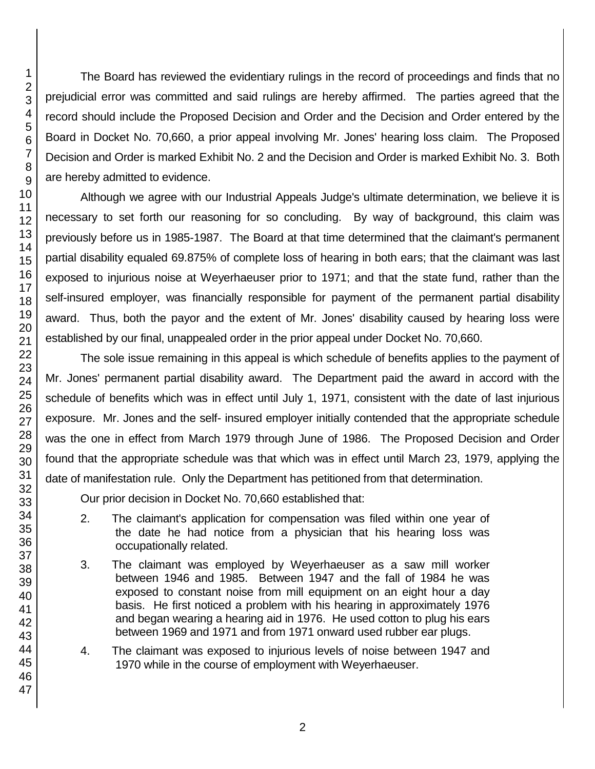The Board has reviewed the evidentiary rulings in the record of proceedings and finds that no prejudicial error was committed and said rulings are hereby affirmed. The parties agreed that the record should include the Proposed Decision and Order and the Decision and Order entered by the Board in Docket No. 70,660, a prior appeal involving Mr. Jones' hearing loss claim. The Proposed Decision and Order is marked Exhibit No. 2 and the Decision and Order is marked Exhibit No. 3. Both are hereby admitted to evidence.

Although we agree with our Industrial Appeals Judge's ultimate determination, we believe it is necessary to set forth our reasoning for so concluding. By way of background, this claim was previously before us in 1985-1987. The Board at that time determined that the claimant's permanent partial disability equaled 69.875% of complete loss of hearing in both ears; that the claimant was last exposed to injurious noise at Weyerhaeuser prior to 1971; and that the state fund, rather than the self-insured employer, was financially responsible for payment of the permanent partial disability award. Thus, both the payor and the extent of Mr. Jones' disability caused by hearing loss were established by our final, unappealed order in the prior appeal under Docket No. 70,660.

The sole issue remaining in this appeal is which schedule of benefits applies to the payment of Mr. Jones' permanent partial disability award. The Department paid the award in accord with the schedule of benefits which was in effect until July 1, 1971, consistent with the date of last injurious exposure. Mr. Jones and the self- insured employer initially contended that the appropriate schedule was the one in effect from March 1979 through June of 1986. The Proposed Decision and Order found that the appropriate schedule was that which was in effect until March 23, 1979, applying the date of manifestation rule. Only the Department has petitioned from that determination.

Our prior decision in Docket No. 70,660 established that:

- 2. The claimant's application for compensation was filed within one year of the date he had notice from a physician that his hearing loss was occupationally related.
- 3. The claimant was employed by Weyerhaeuser as a saw mill worker between 1946 and 1985. Between 1947 and the fall of 1984 he was exposed to constant noise from mill equipment on an eight hour a day basis. He first noticed a problem with his hearing in approximately 1976 and began wearing a hearing aid in 1976. He used cotton to plug his ears between 1969 and 1971 and from 1971 onward used rubber ear plugs.
- 4. The claimant was exposed to injurious levels of noise between 1947 and 1970 while in the course of employment with Weyerhaeuser.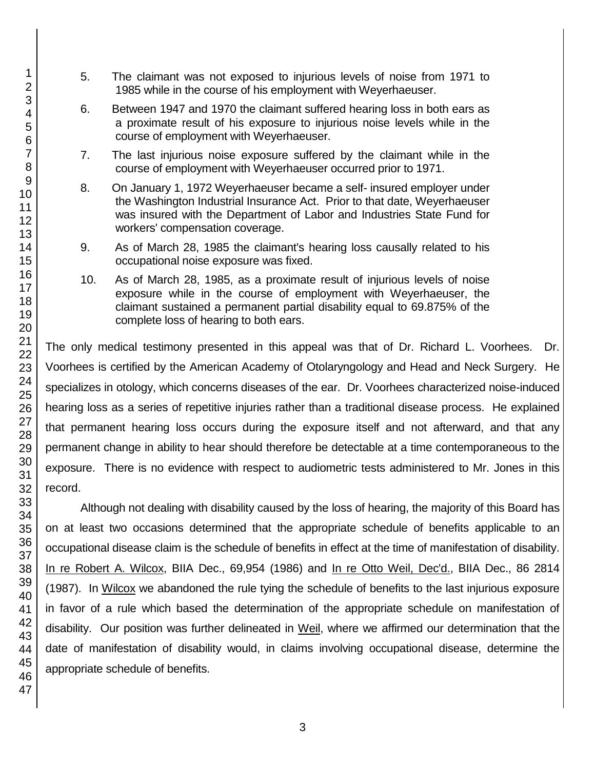- 5. The claimant was not exposed to injurious levels of noise from 1971 to 1985 while in the course of his employment with Weyerhaeuser.
- 6. Between 1947 and 1970 the claimant suffered hearing loss in both ears as a proximate result of his exposure to injurious noise levels while in the course of employment with Weyerhaeuser.
- 7. The last injurious noise exposure suffered by the claimant while in the course of employment with Weyerhaeuser occurred prior to 1971.
- 8. On January 1, 1972 Weyerhaeuser became a self- insured employer under the Washington Industrial Insurance Act. Prior to that date, Weyerhaeuser was insured with the Department of Labor and Industries State Fund for workers' compensation coverage.
- 9. As of March 28, 1985 the claimant's hearing loss causally related to his occupational noise exposure was fixed.
- 10. As of March 28, 1985, as a proximate result of injurious levels of noise exposure while in the course of employment with Weyerhaeuser, the claimant sustained a permanent partial disability equal to 69.875% of the complete loss of hearing to both ears.

The only medical testimony presented in this appeal was that of Dr. Richard L. Voorhees. Dr. Voorhees is certified by the American Academy of Otolaryngology and Head and Neck Surgery. He specializes in otology, which concerns diseases of the ear. Dr. Voorhees characterized noise-induced hearing loss as a series of repetitive injuries rather than a traditional disease process. He explained that permanent hearing loss occurs during the exposure itself and not afterward, and that any permanent change in ability to hear should therefore be detectable at a time contemporaneous to the exposure. There is no evidence with respect to audiometric tests administered to Mr. Jones in this record.

Although not dealing with disability caused by the loss of hearing, the majority of this Board has on at least two occasions determined that the appropriate schedule of benefits applicable to an occupational disease claim is the schedule of benefits in effect at the time of manifestation of disability. In re Robert A. Wilcox, BIIA Dec., 69,954 (1986) and In re Otto Weil, Dec'd., BIIA Dec., 86 2814 (1987). In Wilcox we abandoned the rule tying the schedule of benefits to the last injurious exposure in favor of a rule which based the determination of the appropriate schedule on manifestation of disability. Our position was further delineated in Weil, where we affirmed our determination that the date of manifestation of disability would, in claims involving occupational disease, determine the appropriate schedule of benefits.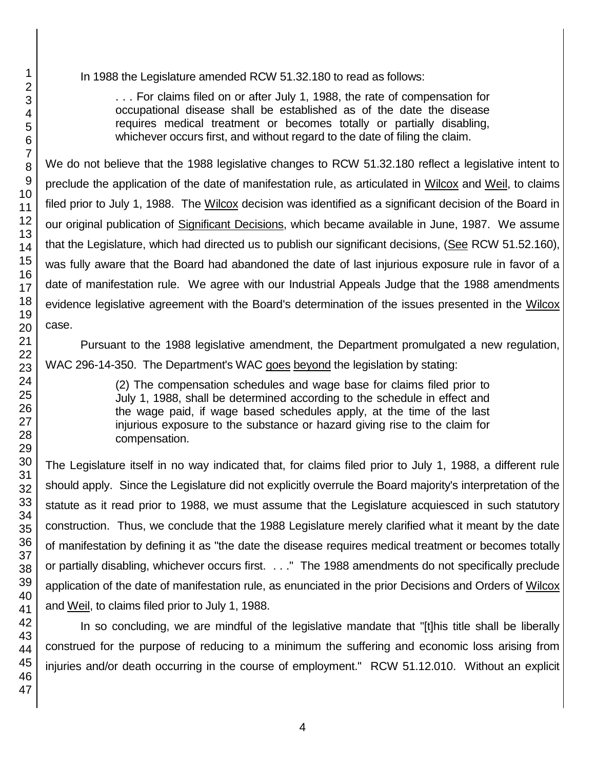In 1988 the Legislature amended RCW 51.32.180 to read as follows:

. . . For claims filed on or after July 1, 1988, the rate of compensation for occupational disease shall be established as of the date the disease requires medical treatment or becomes totally or partially disabling, whichever occurs first, and without regard to the date of filing the claim.

We do not believe that the 1988 legislative changes to RCW 51.32.180 reflect a legislative intent to preclude the application of the date of manifestation rule, as articulated in Wilcox and Weil, to claims filed prior to July 1, 1988. The Wilcox decision was identified as a significant decision of the Board in our original publication of Significant Decisions, which became available in June, 1987. We assume that the Legislature, which had directed us to publish our significant decisions, (See RCW 51.52.160), was fully aware that the Board had abandoned the date of last injurious exposure rule in favor of a date of manifestation rule. We agree with our Industrial Appeals Judge that the 1988 amendments evidence legislative agreement with the Board's determination of the issues presented in the Wilcox case.

Pursuant to the 1988 legislative amendment, the Department promulgated a new regulation, WAC 296-14-350. The Department's WAC goes beyond the legislation by stating:

> (2) The compensation schedules and wage base for claims filed prior to July 1, 1988, shall be determined according to the schedule in effect and the wage paid, if wage based schedules apply, at the time of the last injurious exposure to the substance or hazard giving rise to the claim for compensation.

The Legislature itself in no way indicated that, for claims filed prior to July 1, 1988, a different rule should apply. Since the Legislature did not explicitly overrule the Board majority's interpretation of the statute as it read prior to 1988, we must assume that the Legislature acquiesced in such statutory construction. Thus, we conclude that the 1988 Legislature merely clarified what it meant by the date of manifestation by defining it as "the date the disease requires medical treatment or becomes totally or partially disabling, whichever occurs first. . . ." The 1988 amendments do not specifically preclude application of the date of manifestation rule, as enunciated in the prior Decisions and Orders of Wilcox and Weil, to claims filed prior to July 1, 1988.

In so concluding, we are mindful of the legislative mandate that "[t]his title shall be liberally construed for the purpose of reducing to a minimum the suffering and economic loss arising from injuries and/or death occurring in the course of employment." RCW 51.12.010. Without an explicit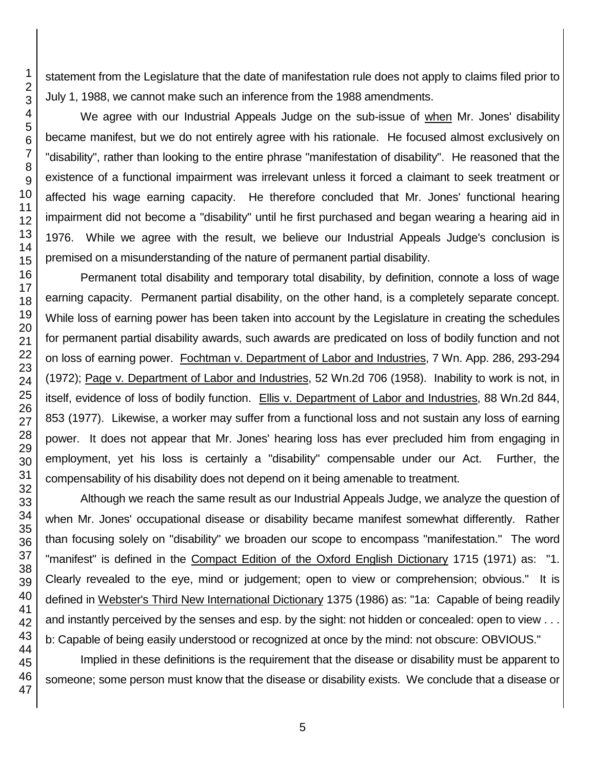statement from the Legislature that the date of manifestation rule does not apply to claims filed prior to July 1, 1988, we cannot make such an inference from the 1988 amendments.

We agree with our Industrial Appeals Judge on the sub-issue of when Mr. Jones' disability became manifest, but we do not entirely agree with his rationale. He focused almost exclusively on "disability", rather than looking to the entire phrase "manifestation of disability". He reasoned that the existence of a functional impairment was irrelevant unless it forced a claimant to seek treatment or affected his wage earning capacity. He therefore concluded that Mr. Jones' functional hearing impairment did not become a "disability" until he first purchased and began wearing a hearing aid in 1976. While we agree with the result, we believe our Industrial Appeals Judge's conclusion is premised on a misunderstanding of the nature of permanent partial disability.

Permanent total disability and temporary total disability, by definition, connote a loss of wage earning capacity. Permanent partial disability, on the other hand, is a completely separate concept. While loss of earning power has been taken into account by the Legislature in creating the schedules for permanent partial disability awards, such awards are predicated on loss of bodily function and not on loss of earning power. Fochtman v. Department of Labor and Industries, 7 Wn. App. 286, 293-294 (1972); Page v. Department of Labor and Industries, 52 Wn.2d 706 (1958). Inability to work is not, in itself, evidence of loss of bodily function. Ellis v. Department of Labor and Industries, 88 Wn.2d 844, 853 (1977). Likewise, a worker may suffer from a functional loss and not sustain any loss of earning power. It does not appear that Mr. Jones' hearing loss has ever precluded him from engaging in employment, yet his loss is certainly a "disability" compensable under our Act. Further, the compensability of his disability does not depend on it being amenable to treatment.

Although we reach the same result as our Industrial Appeals Judge, we analyze the question of when Mr. Jones' occupational disease or disability became manifest somewhat differently. Rather than focusing solely on "disability" we broaden our scope to encompass "manifestation." The word "manifest" is defined in the Compact Edition of the Oxford English Dictionary 1715 (1971) as: "1. Clearly revealed to the eye, mind or judgement; open to view or comprehension; obvious." It is defined in Webster's Third New International Dictionary 1375 (1986) as: "1a: Capable of being readily and instantly perceived by the senses and esp. by the sight: not hidden or concealed: open to view . . . b: Capable of being easily understood or recognized at once by the mind: not obscure: OBVIOUS."

Implied in these definitions is the requirement that the disease or disability must be apparent to someone; some person must know that the disease or disability exists. We conclude that a disease or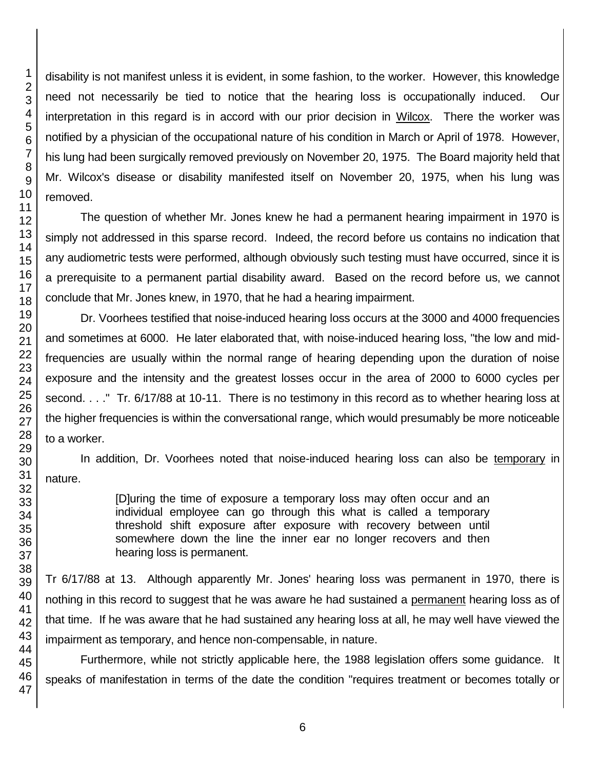disability is not manifest unless it is evident, in some fashion, to the worker. However, this knowledge need not necessarily be tied to notice that the hearing loss is occupationally induced. Our interpretation in this regard is in accord with our prior decision in Wilcox. There the worker was notified by a physician of the occupational nature of his condition in March or April of 1978. However, his lung had been surgically removed previously on November 20, 1975. The Board majority held that Mr. Wilcox's disease or disability manifested itself on November 20, 1975, when his lung was removed.

The question of whether Mr. Jones knew he had a permanent hearing impairment in 1970 is simply not addressed in this sparse record. Indeed, the record before us contains no indication that any audiometric tests were performed, although obviously such testing must have occurred, since it is a prerequisite to a permanent partial disability award. Based on the record before us, we cannot conclude that Mr. Jones knew, in 1970, that he had a hearing impairment.

Dr. Voorhees testified that noise-induced hearing loss occurs at the 3000 and 4000 frequencies and sometimes at 6000. He later elaborated that, with noise-induced hearing loss, "the low and midfrequencies are usually within the normal range of hearing depending upon the duration of noise exposure and the intensity and the greatest losses occur in the area of 2000 to 6000 cycles per second. . . ." Tr. 6/17/88 at 10-11. There is no testimony in this record as to whether hearing loss at the higher frequencies is within the conversational range, which would presumably be more noticeable to a worker.

In addition, Dr. Voorhees noted that noise-induced hearing loss can also be temporary in nature.

> [D]uring the time of exposure a temporary loss may often occur and an individual employee can go through this what is called a temporary threshold shift exposure after exposure with recovery between until somewhere down the line the inner ear no longer recovers and then hearing loss is permanent.

Tr 6/17/88 at 13. Although apparently Mr. Jones' hearing loss was permanent in 1970, there is nothing in this record to suggest that he was aware he had sustained a permanent hearing loss as of that time. If he was aware that he had sustained any hearing loss at all, he may well have viewed the impairment as temporary, and hence non-compensable, in nature.

Furthermore, while not strictly applicable here, the 1988 legislation offers some guidance. It speaks of manifestation in terms of the date the condition "requires treatment or becomes totally or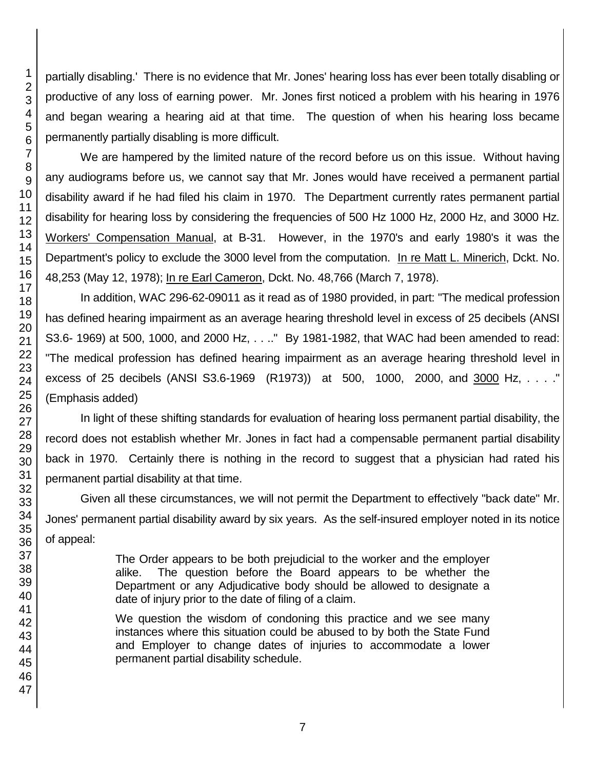partially disabling.' There is no evidence that Mr. Jones' hearing loss has ever been totally disabling or productive of any loss of earning power. Mr. Jones first noticed a problem with his hearing in 1976 and began wearing a hearing aid at that time. The question of when his hearing loss became permanently partially disabling is more difficult.

We are hampered by the limited nature of the record before us on this issue. Without having any audiograms before us, we cannot say that Mr. Jones would have received a permanent partial disability award if he had filed his claim in 1970. The Department currently rates permanent partial disability for hearing loss by considering the frequencies of 500 Hz 1000 Hz, 2000 Hz, and 3000 Hz. Workers' Compensation Manual, at B-31. However, in the 1970's and early 1980's it was the Department's policy to exclude the 3000 level from the computation. In re Matt L. Minerich, Dckt. No. 48,253 (May 12, 1978); In re Earl Cameron, Dckt. No. 48,766 (March 7, 1978).

In addition, WAC 296-62-09011 as it read as of 1980 provided, in part: "The medical profession has defined hearing impairment as an average hearing threshold level in excess of 25 decibels (ANSI S3.6- 1969) at 500, 1000, and 2000 Hz, . . .." By 1981-1982, that WAC had been amended to read: "The medical profession has defined hearing impairment as an average hearing threshold level in excess of 25 decibels (ANSI S3.6-1969 (R1973)) at 500, 1000, 2000, and 3000 Hz, ...." (Emphasis added)

In light of these shifting standards for evaluation of hearing loss permanent partial disability, the record does not establish whether Mr. Jones in fact had a compensable permanent partial disability back in 1970. Certainly there is nothing in the record to suggest that a physician had rated his permanent partial disability at that time.

Given all these circumstances, we will not permit the Department to effectively "back date" Mr. Jones' permanent partial disability award by six years. As the self-insured employer noted in its notice of appeal:

> The Order appears to be both prejudicial to the worker and the employer alike. The question before the Board appears to be whether the Department or any Adjudicative body should be allowed to designate a date of injury prior to the date of filing of a claim.

> We question the wisdom of condoning this practice and we see many instances where this situation could be abused to by both the State Fund and Employer to change dates of injuries to accommodate a lower permanent partial disability schedule.